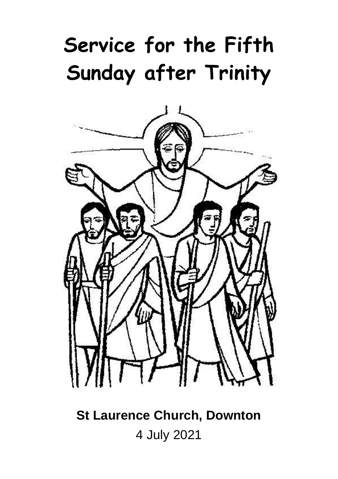# **Service for the Fifth Sunday after Trinity**



## **St Laurence Church, Downton** 4 July 2021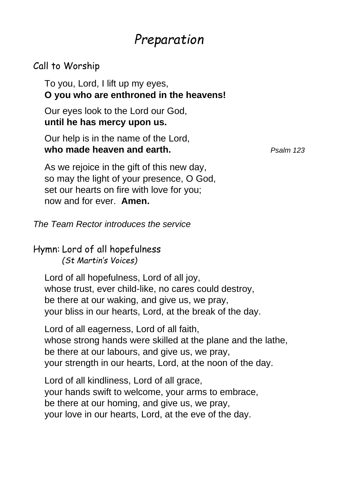### *Preparation*

#### Call to Worship

To you, Lord, I lift up my eyes, **O you who are enthroned in the heavens!**

Our eyes look to the Lord our God, **until he has mercy upon us.**

Our help is in the name of the Lord, **who made heaven and earth.** *Psalm 123*

As we rejoice in the gift of this new day, so may the light of your presence, O God, set our hearts on fire with love for you; now and for ever. **Amen.**

*The Team Rector introduces the service*

Hymn: Lord of all hopefulness *(St Martin's Voices)*

Lord of all hopefulness, Lord of all joy, whose trust, ever child-like, no cares could destroy, be there at our waking, and give us, we pray, your bliss in our hearts, Lord, at the break of the day.

Lord of all eagerness, Lord of all faith, whose strong hands were skilled at the plane and the lathe, be there at our labours, and give us, we pray, your strength in our hearts, Lord, at the noon of the day.

Lord of all kindliness, Lord of all grace, your hands swift to welcome, your arms to embrace, be there at our homing, and give us, we pray, your love in our hearts, Lord, at the eve of the day.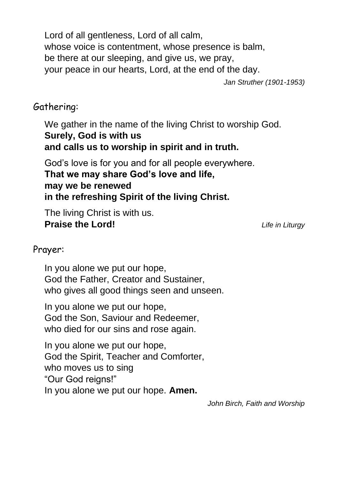Lord of all gentleness, Lord of all calm, whose voice is contentment, whose presence is balm, be there at our sleeping, and give us, we pray, your peace in our hearts, Lord, at the end of the day.

*Jan Struther (1901-1953)*

### Gathering:

We gather in the name of the living Christ to worship God. **Surely, God is with us and calls us to worship in spirit and in truth.**

God's love is for you and for all people everywhere. **That we may share God's love and life, may we be renewed in the refreshing Spirit of the living Christ.**

The living Christ is with us. **Praise the Lord!** *Life in Liturgy*

#### Prayer:

In you alone we put our hope, God the Father, Creator and Sustainer, who gives all good things seen and unseen.

In you alone we put our hope, God the Son, Saviour and Redeemer, who died for our sins and rose again.

In you alone we put our hope, God the Spirit, Teacher and Comforter, who moves us to sing "Our God reigns!" In you alone we put our hope. **Amen.**

*John Birch, Faith and Worship*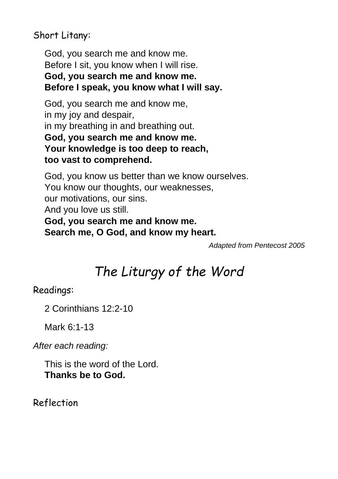Short Litany:

God, you search me and know me. Before I sit, you know when I will rise. **God, you search me and know me. Before I speak, you know what I will say.**

God, you search me and know me, in my joy and despair, in my breathing in and breathing out. **God, you search me and know me. Your knowledge is too deep to reach, too vast to comprehend.**

God, you know us better than we know ourselves. You know our thoughts, our weaknesses, our motivations, our sins. And you love us still. **God, you search me and know me. Search me, O God, and know my heart.**

*Adapted from Pentecost 2005*

### *The Liturgy of the Word*

Readings:

2 Corinthians 12:2-10

Mark 6:1-13

*After each reading:*

This is the word of the Lord. **Thanks be to God.**

Reflection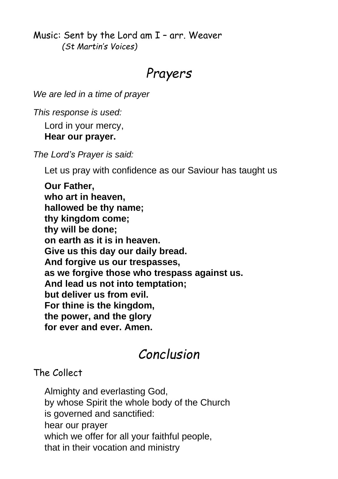Music: Sent by the Lord am I – arr. Weaver *(St Martin's Voices)*

### *Prayers*

*We are led in a time of prayer*

*This response is used:*

Lord in your mercy,

#### **Hear our prayer.**

*The Lord's Prayer is said:*

Let us pray with confidence as our Saviour has taught us

**Our Father, who art in heaven, hallowed be thy name; thy kingdom come; thy will be done; on earth as it is in heaven. Give us this day our daily bread. And forgive us our trespasses, as we forgive those who trespass against us. And lead us not into temptation; but deliver us from evil. For thine is the kingdom, the power, and the glory for ever and ever. Amen.**

### *Conclusion*

#### The Collect

Almighty and everlasting God, by whose Spirit the whole body of the Church is governed and sanctified: hear our prayer which we offer for all your faithful people, that in their vocation and ministry